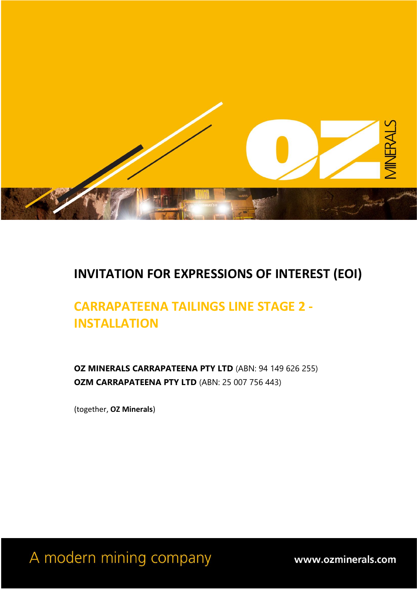

# **INVITATION FOR EXPRESSIONS OF INTEREST (EOI)**

# **CARRAPATEENA TAILINGS LINE STAGE 2 - INSTALLATION**

**OZ MINERALS CARRAPATEENA PTY LTD** (ABN: 94 149 626 255) **OZM CARRAPATEENA PTY LTD** (ABN: [25 007 756 443\)](http://abr.business.gov.au/Search.aspx?SearchText=25%20007%20756%20443)

(together, **OZ Minerals**)

A modern mining company

www.ozminerals.com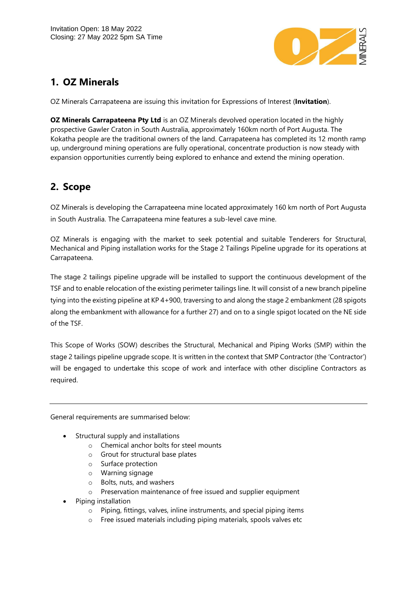

## **1. OZ Minerals**

OZ Minerals Carrapateena are issuing this invitation for Expressions of Interest (**Invitation**).

**OZ Minerals Carrapateena Pty Ltd** is an OZ Minerals devolved operation located in the highly prospective Gawler Craton in South Australia, approximately 160km north of Port Augusta. The Kokatha people are the traditional owners of the land. Carrapateena has completed its 12 month ramp up, underground mining operations are fully operational, concentrate production is now steady with expansion opportunities currently being explored to enhance and extend the mining operation.

## **2. Scope**

OZ Minerals is developing the Carrapateena mine located approximately 160 km north of Port Augusta in South Australia. The Carrapateena mine features a sub-level cave mine.

OZ Minerals is engaging with the market to seek potential and suitable Tenderers for Structural, Mechanical and Piping installation works for the Stage 2 Tailings Pipeline upgrade for its operations at Carrapateena.

The stage 2 tailings pipeline upgrade will be installed to support the continuous development of the TSF and to enable relocation of the existing perimeter tailings line. It will consist of a new branch pipeline tying into the existing pipeline at KP 4+900, traversing to and along the stage 2 embankment (28 spigots along the embankment with allowance for a further 27) and on to a single spigot located on the NE side of the TSF.

This Scope of Works (SOW) describes the Structural, Mechanical and Piping Works (SMP) within the stage 2 tailings pipeline upgrade scope. It is written in the context that SMP Contractor (the 'Contractor') will be engaged to undertake this scope of work and interface with other discipline Contractors as required.

General requirements are summarised below:

- Structural supply and installations
	- o Chemical anchor bolts for steel mounts
	- o Grout for structural base plates
	- o Surface protection
	- o Warning signage
	- o Bolts, nuts, and washers
	- o Preservation maintenance of free issued and supplier equipment
- Piping installation
	- o Piping, fittings, valves, inline instruments, and special piping items
	- o Free issued materials including piping materials, spools valves etc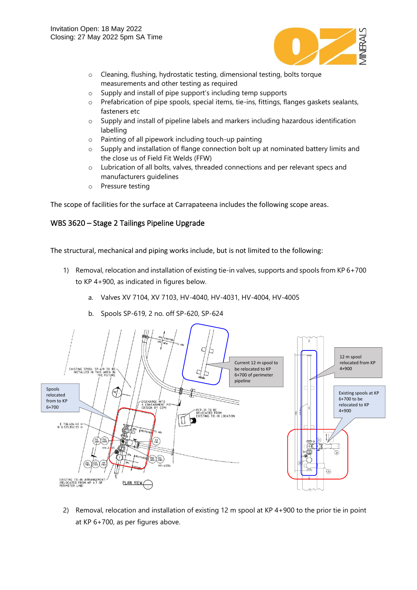

- o Cleaning, flushing, hydrostatic testing, dimensional testing, bolts torque measurements and other testing as required
- o Supply and install of pipe support's including temp supports
- o Prefabrication of pipe spools, special items, tie-ins, fittings, flanges gaskets sealants, fasteners etc
- o Supply and install of pipeline labels and markers including hazardous identification labelling
- o Painting of all pipework including touch-up painting
- o Supply and installation of flange connection bolt up at nominated battery limits and the close us of Field Fit Welds (FFW)
- o Lubrication of all bolts, valves, threaded connections and per relevant specs and manufacturers guidelines
- o Pressure testing

The scope of facilities for the surface at Carrapateena includes the following scope areas.

#### WBS 3620 – Stage 2 Tailings Pipeline Upgrade

The structural, mechanical and piping works include, but is not limited to the following:

- 1) Removal, relocation and installation of existing tie-in valves, supports and spools from KP 6+700 to KP 4+900, as indicated in figures below.
	- a. Valves XV 7104, XV 7103, HV-4040, HV-4031, HV-4004, HV-4005
	- b. Spools SP-619, 2 no. off SP-620, SP-624



2) Removal, relocation and installation of existing 12 m spool at KP 4+900 to the prior tie in point at KP 6+700, as per figures above.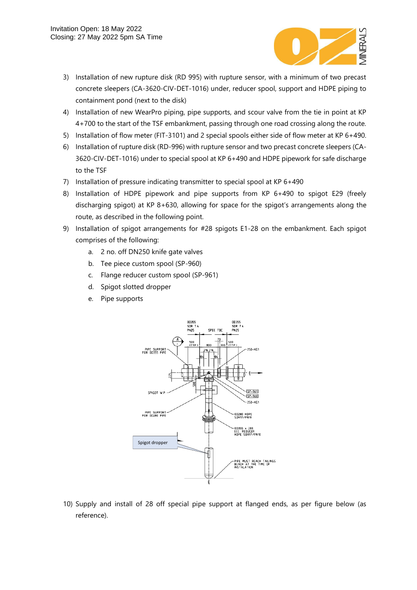

- 3) Installation of new rupture disk (RD 995) with rupture sensor, with a minimum of two precast concrete sleepers (CA-3620-CIV-DET-1016) under, reducer spool, support and HDPE piping to containment pond (next to the disk)
- 4) Installation of new WearPro piping, pipe supports, and scour valve from the tie in point at KP 4+700 to the start of the TSF embankment, passing through one road crossing along the route.
- 5) Installation of flow meter (FIT-3101) and 2 special spools either side of flow meter at KP 6+490.
- 6) Installation of rupture disk (RD-996) with rupture sensor and two precast concrete sleepers (CA-3620-CIV-DET-1016) under to special spool at KP 6+490 and HDPE pipework for safe discharge to the TSF
- 7) Installation of pressure indicating transmitter to special spool at KP 6+490
- 8) Installation of HDPE pipework and pipe supports from KP 6+490 to spigot E29 (freely discharging spigot) at KP 8+630, allowing for space for the spigot's arrangements along the route, as described in the following point.
- 9) Installation of spigot arrangements for #28 spigots E1-28 on the embankment. Each spigot comprises of the following:
	- a. 2 no. off DN250 knife gate valves
	- b. Tee piece custom spool (SP-960)
	- c. Flange reducer custom spool (SP-961)
	- d. Spigot slotted dropper
	- e. Pipe supports



10) Supply and install of 28 off special pipe support at flanged ends, as per figure below (as reference).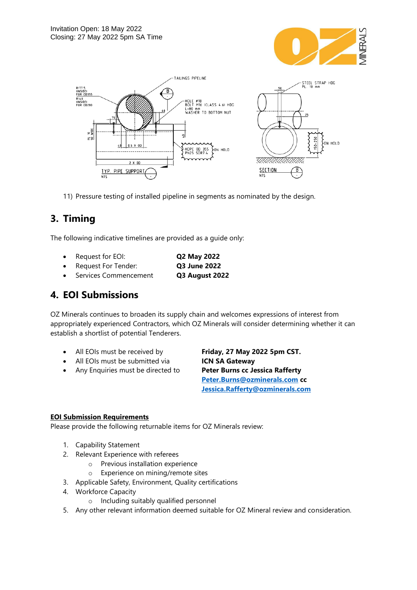



11) Pressure testing of installed pipeline in segments as nominated by the design.

### **3. Timing**

The following indicative timelines are provided as a guide only:

- Request for EOI: **Q2 May 2022**
	- Request For Tender: **Q3 June 2022**
- Services Commencement **Q3 August 2022**

### **4. EOI Submissions**

OZ Minerals continues to broaden its supply chain and welcomes expressions of interest from appropriately experienced Contractors, which OZ Minerals will consider determining whether it can establish a shortlist of potential Tenderers.

- All EOIs must be received by **Friday, 27 May 2022 5pm CST.**
- All EOIs must be submitted via **ICN SA Gateway**
- Any Enquiries must be directed to **Peter Burns cc Jessica Rafferty**

**[Peter.Burns@ozminerals.com](mailto:Peter.Burns@ozminerals.com) cc [Jessica.Rafferty@ozminerals.com](mailto:Jessica.Rafferty@ozminerals.com)**

#### **EOI Submission Requirements**

Please provide the following returnable items for OZ Minerals review:

- 1. Capability Statement
- 2. Relevant Experience with referees
	- o Previous installation experience
	- o Experience on mining/remote sites
- 3. Applicable Safety, Environment, Quality certifications
- 4. Workforce Capacity
	- o Including suitably qualified personnel
- 5. Any other relevant information deemed suitable for OZ Mineral review and consideration.